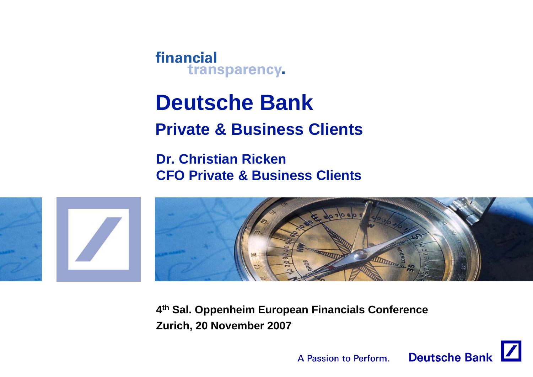**Deutsche Bank Private & Business Clients**

**Dr. Christian RickenCFO Private & Business Clients**



**4th Sal. Oppenheim European Financials Conference Zurich, 20 November 2007**

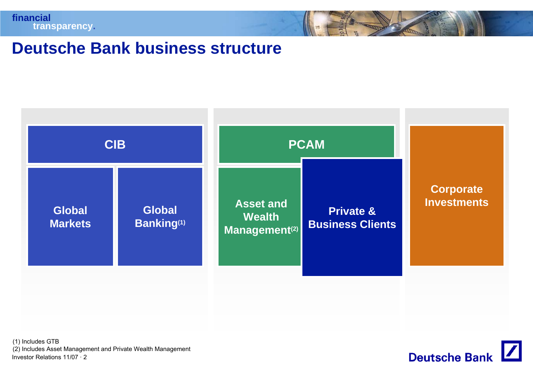

### **Deutsche Bank business structure**



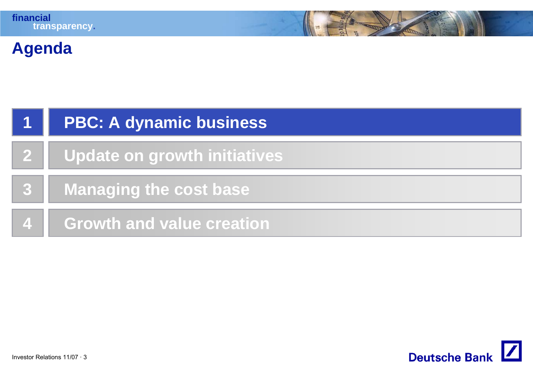# **Agenda**

|              | <b>PBC: A dynamic business</b>      |
|--------------|-------------------------------------|
| $\mathbf{2}$ | <b>Update on growth initiatives</b> |
|              | <b>Managing the cost base</b>       |
|              | <b>Growth and value creation</b>    |

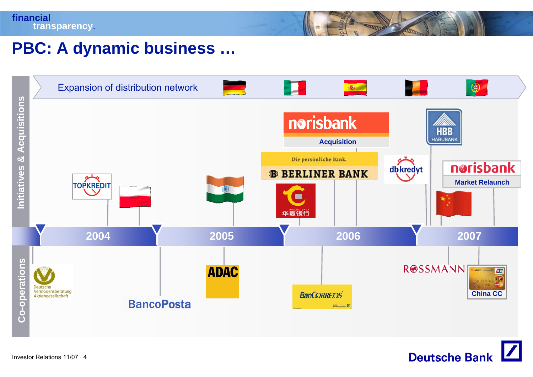# **PBC: A dynamic business …**



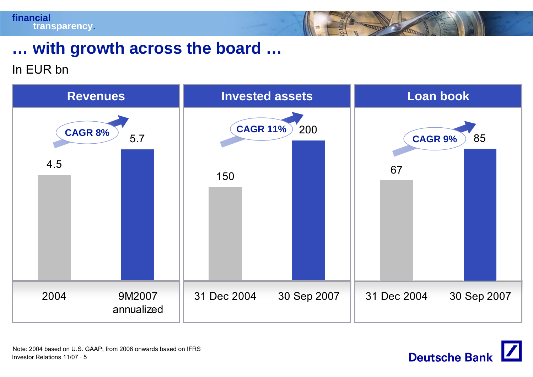# **… with growth across the board …**

In EUR bn



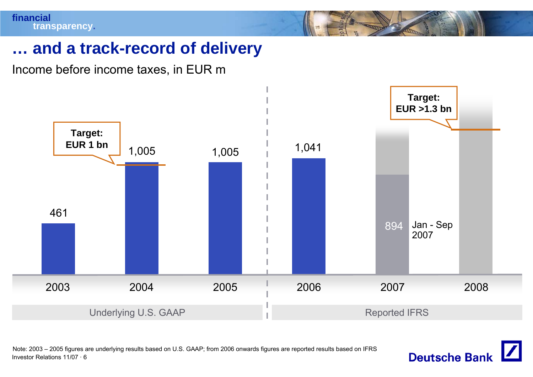## **… and a track-record of delivery**

Income before income taxes, in EUR m



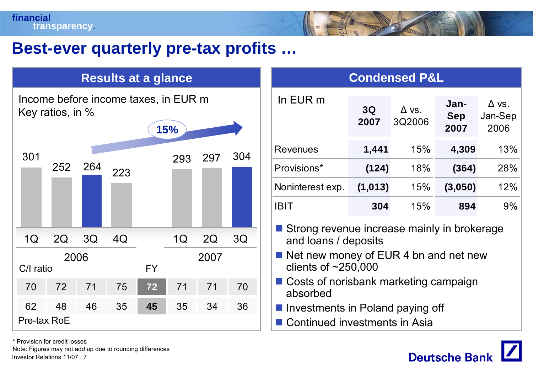# **Best-ever quarterly pre-tax profits …**

### **Results at a glance The Condensed P&L**

Income before income taxes, in EUR m Key ratios, in %

| ╯                 |      |     |     |           | 15% |      |     |
|-------------------|------|-----|-----|-----------|-----|------|-----|
| 301               | 252  | 264 | 223 |           | 293 | 297  | 304 |
| 1Q                | 2Q   | 3Q  | 4Q  |           | 1Q  | 2Q   | 3Q  |
| C/I ratio         | 2006 |     |     | <b>FY</b> |     | 2007 |     |
| 70                | 72   | 71  | 75  | 72        | 71  | 71   | 70  |
| 62<br>Pre-tax RoE | 48   | 46  | 35  | 45        | 35  | 34   | 36  |

| In EUR m         | 3Q<br>2007 | $\Delta$ vs.<br>3Q2006 | Jan-<br><b>Sep</b><br>2007 | $\Delta$ vs.<br>Jan-Sep<br>2006 |
|------------------|------------|------------------------|----------------------------|---------------------------------|
| <b>Revenues</b>  | 1,441      | 15%                    | 4,309                      | 13%                             |
| Provisions*      | (124)      | 18%                    | (364)                      | 28%                             |
| Noninterest exp. | (1, 013)   | 15%                    | (3,050)                    | 12%                             |
| <b>IBIT</b>      | 304        | 15%                    | 894                        | $9\%$                           |

**Strong revenue increase mainly in brokerage** and loans / deposits

- Net new money of EUR 4 bn and net new clients of ~250,000
- Costs of norisbank marketing campaign absorbed
- **Investments in Poland paying off**
- Continued investments in Asia



\* Provision for credit losses

Investor Relations 11/07 · 7Note: Figures may not add up due to rounding differences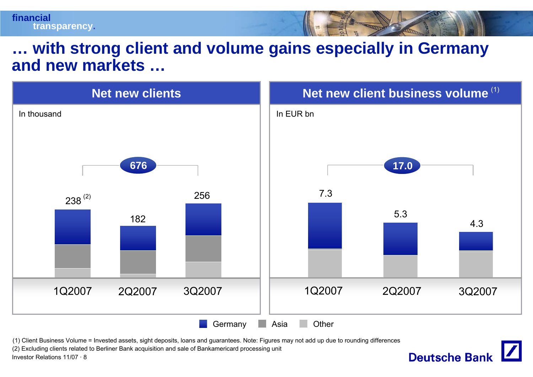### **… with strong client and volume gains especially in Germany and new markets …**



**Deutsche Bank** 

(1) Client Business Volume = Invested assets, sight deposits, loans and guarantees. Note: Figures may not add up due to rounding differences

(2) Excluding clients related to Berliner Bank acquisition and sale of Bankamericard processing unit

Investor Relations 11/07 · 8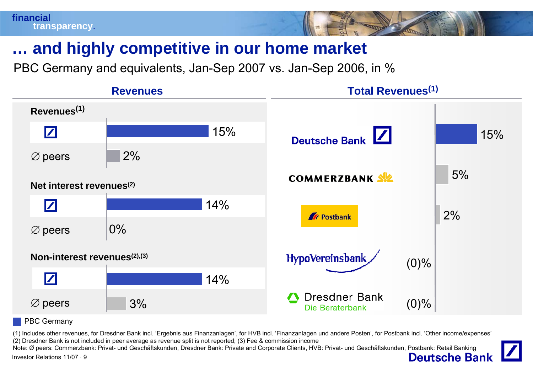

# **… and highly competitive in our home market**

PBC Germany and equivalents, Jan-Sep 2007 vs. Jan-Sep 2006, in %



PBC Germany

(1) Includes other revenues, for Dresdner Bank incl. 'Ergebnis aus Finanzanlagen', for HVB incl. 'Finanzanlagen und andere Posten', for Postbank incl. 'Other income/expenses' (2) Dresdner Bank is not included in peer average as revenue split is not reported; (3) Fee & commission income

Note: Ø peers: Commerzbank: Privat- und Geschäftskunden, Dresdner Bank: Private and Corporate Clients, HVB: Privat- und Geschäftskunden, Postbank: Retail Banking**Deutsche Bank** Investor Relations 11/07 · 9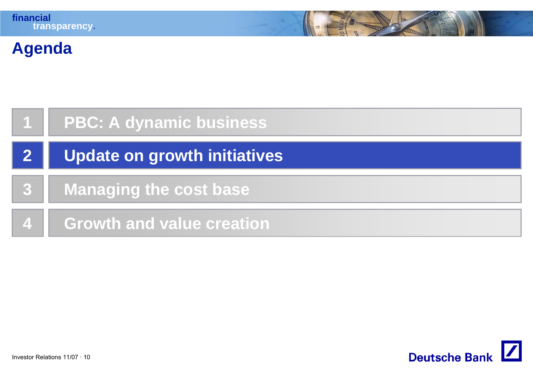# **Agenda**

|              | <b>PBC: A dynamic business</b>      |
|--------------|-------------------------------------|
| $\mathbf{2}$ | <b>Update on growth initiatives</b> |
|              | <b>Managing the cost base</b>       |
|              | <b>Growth and value creation</b>    |

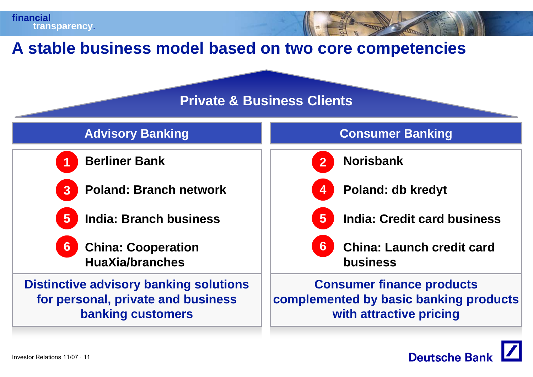### **A stable business model based on two core competencies**

### **Private & Business Clients**



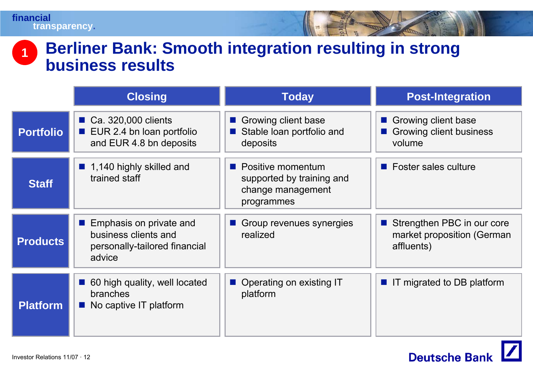### **Berliner Bank: Smooth integration resulting in strong business results1**

|                  | <b>Closing</b>                                                                                                            | <b>Today</b>                                                                                     | <b>Post-Integration</b>                                                |
|------------------|---------------------------------------------------------------------------------------------------------------------------|--------------------------------------------------------------------------------------------------|------------------------------------------------------------------------|
| <b>Portfolio</b> | Ca. 320,000 clients<br>EUR 2.4 bn Ioan portfolio<br>$\mathcal{L}_{\rm{max}}$<br>and EUR 4.8 bn deposits                   | Growing client base<br>a.<br>Stable loan portfolio and<br>deposits                               | Growing client base<br>Growing client business<br>volume               |
| <b>Staff</b>     | ■ 1,140 highly skilled and<br>trained staff                                                                               | $\blacksquare$ Positive momentum<br>supported by training and<br>change management<br>programmes | ■ Foster sales culture                                                 |
| <b>Products</b>  | Emphasis on private and<br>$\mathcal{L}_{\mathcal{A}}$<br>business clients and<br>personally-tailored financial<br>advice | Group revenues synergies<br>$\mathcal{L}^{\text{max}}_{\text{max}}$<br>realized                  | Strengthen PBC in our core<br>market proposition (German<br>affluents) |
| <b>Platform</b>  | 60 high quality, well located<br>a s<br>branches<br>No captive IT platform                                                | Operating on existing IT<br>platform                                                             | ■ IT migrated to DB platform                                           |

 $\mathbf{Z}$ 

**Deutsche Bank**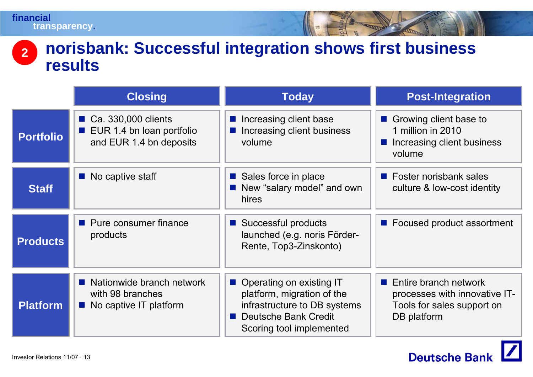#### **norisbank: Successful integration shows first business results 2**

|                  | <b>Closing</b>                                                                       | <b>Today</b>                                                                                                                                        | <b>Post-Integration</b>                                                                                            |
|------------------|--------------------------------------------------------------------------------------|-----------------------------------------------------------------------------------------------------------------------------------------------------|--------------------------------------------------------------------------------------------------------------------|
| <b>Portfolio</b> | ■ Ca. 330,000 clients<br><b>EUR 1.4 bn loan portfolio</b><br>and EUR 1.4 bn deposits | ■ Increasing client base<br>Increasing client business<br>volume                                                                                    | Growing client base to<br>$\mathcal{O}(\mathbb{R}^d)$<br>1 million in 2010<br>Increasing client business<br>volume |
| <b>Staff</b>     | $\blacksquare$ No captive staff                                                      | ■ Sales force in place<br>New "salary model" and own<br>hires                                                                                       | $\blacksquare$ Foster norisbank sales<br>culture & low-cost identity                                               |
| <b>Products</b>  | • Pure consumer finance<br>products                                                  | ■ Successful products<br>launched (e.g. noris Förder-<br>Rente, Top3-Zinskonto)                                                                     | ■ Focused product assortment                                                                                       |
| <b>Platform</b>  | ■ Nationwide branch network<br>with 98 branches<br>No captive IT platform            | ■ Operating on existing IT<br>platform, migration of the<br>infrastructure to DB systems<br><b>Deutsche Bank Credit</b><br>Scoring tool implemented | Entire branch network<br>$\sim 10$<br>processes with innovative IT-<br>Tools for sales support on<br>DB platform   |

 $\vert$ 

**Deutsche Bank**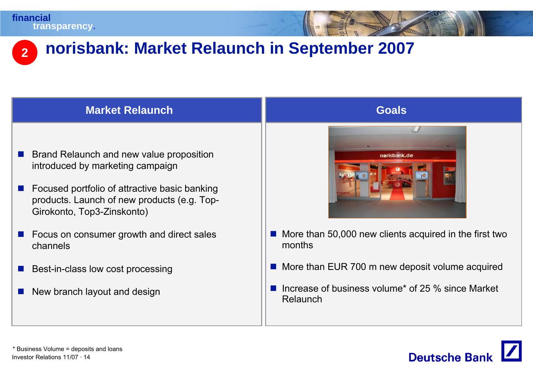#### **2norisbank: Market Relaunch in September 2007**

### **Market Relaunch**

- ш Brand Relaunch and new value proposition introduced by marketing campaign
- $\mathcal{L}_{\mathcal{A}}$  Focused portfolio of attractive basic banking products. Launch of new products (e.g. Top-Girokonto, Top3-Zinskonto)
- **COL**  Focus on consumer growth and direct sales channels
- $\mathcal{L}_{\mathcal{A}}$ Best-in-class low cost processing
- P) New branch layout and design



**Goals**

- $\blacksquare$  More than 50,000 new clients acquired in the first two months
- **More than EUR 700 m new deposit volume acquired**
- If increase of business volume<sup>\*</sup> of 25  $%$  since Market Relaunch

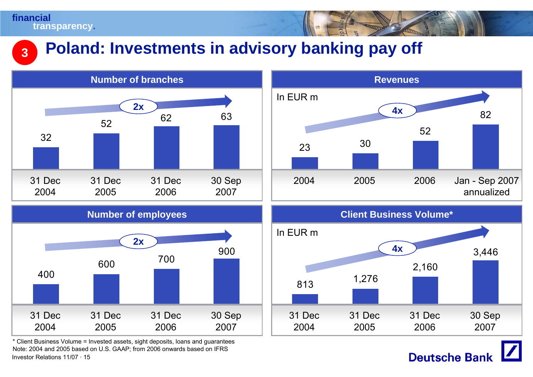#### **Poland: Investments in advisory banking pay off 3**





Investor Relations 11/07 · 15\* Client Business Volume = Invested assets, sight deposits, loans and guarantees Note: 2004 and 2005 based on U.S. GAAP; from 2006 onwards based on IFRS



**Deutsche Bank**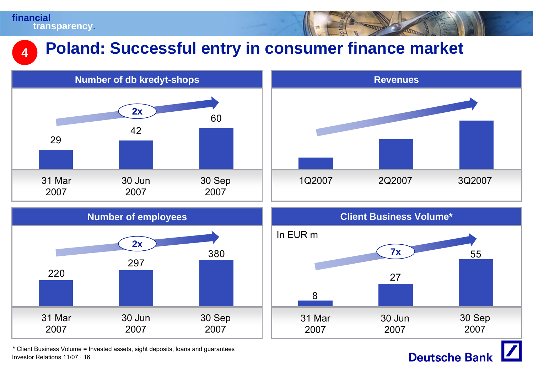**4**

# **Poland: Successful entry in consumer finance market**











**Deutsche Bank**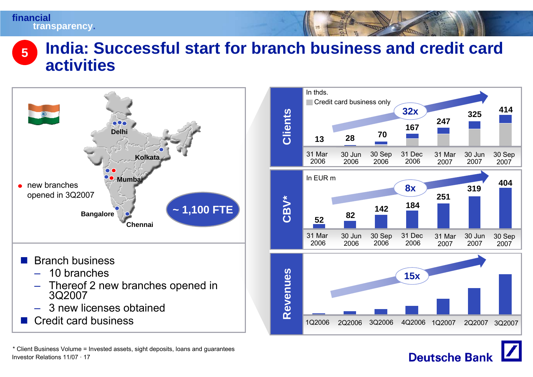### **India: Successful start for branch business and credit card activities5**



Investor Relations 11/07 · 17\* Client Business Volume = Invested assets, sight deposits, loans and guarantees



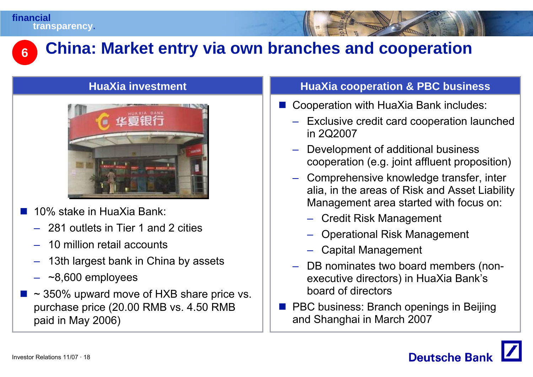

# **China: Market entry via own branches and cooperation**

### **HuaXia investment**



- $\mathbb{R}^3$  10% stake in HuaXia Bank:
	- 281 outlets in Tier 1 and 2 cities
	- 10 million retail accounts
	- 13th largest bank in China by assets
	- ~8,600 employees
- $\mathbb{R}^3$  ~ 350% upward move of HXB share price vs. purchase price (20.00 RMB vs. 4.50 RMB paid in May 2006)

### **HuaXia cooperation & PBC business**

- Cooperation with HuaXia Bank includes:
	- Exclusive credit card cooperation launched in 2Q2007
	- Development of additional business cooperation (e.g. joint affluent proposition)
	- Comprehensive knowledge transfer, inter alia, in the areas of Risk and Asset Liability Management area started with focus on:
		- Credit Risk Management
		- Operational Risk Management
		- Capital Management
	- DB nominates two board members (nonexecutive directors) in HuaXia Bank's board of directors
- **PBC business: Branch openings in Beijing** and Shanghai in March 2007

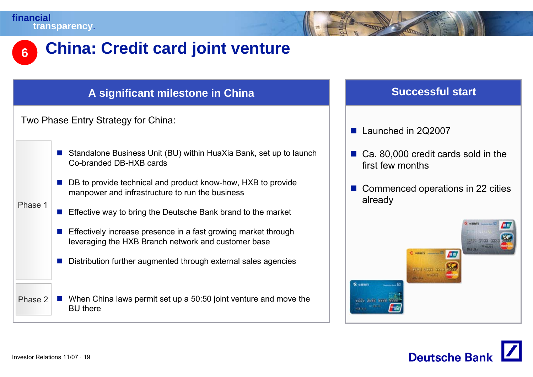Phase 1

# **China: Credit card joint venture**

### **A significant milestone in China Successful start**

Two Phase Entry Strategy for China:

- Standalone Business Unit (BU) within HuaXia Bank, set up to launch Co-branded DB-HXB cards
- DB to provide technical and product know-how, HXB to provide manpower and infrastructure to run the business
- **Effective way to bring the Deutsche Bank brand to the market**
- **Effectively increase presence in a fast growing market through** leveraging the HXB Branch network and customer base
- $\mathcal{C}^{\mathcal{A}}$ Distribution further augmented through external sales agencies

Phase 2■ When China laws permit set up a 50:50 joint venture and move the BU there

- F. Launched in 2Q2007
- Ca. 80,000 credit cards sold in the first few months
- Commenced operations in 22 cities already



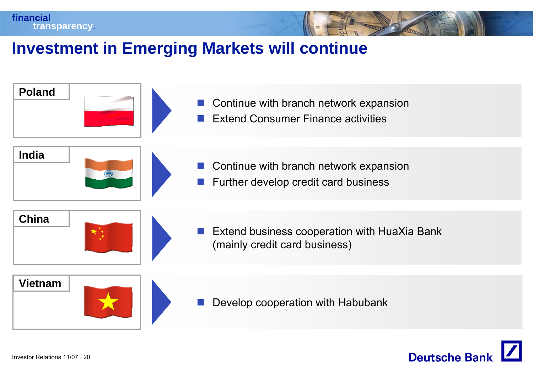# **Investment in Emerging Markets will continue**



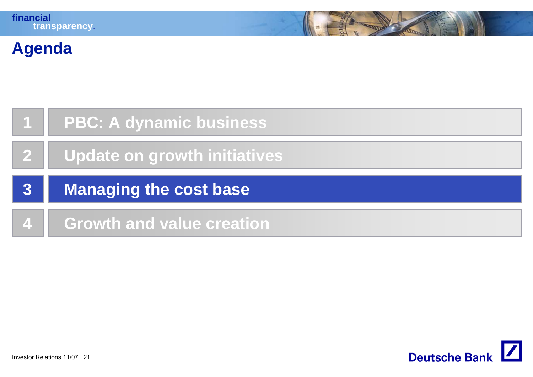# **Agenda**

| $\mathbf 1$  | <b>PBC: A dynamic business</b> |
|--------------|--------------------------------|
| $\mathbf{2}$ | Update on growth initiatives   |
|              |                                |
| 3            | <b>Managing the cost base</b>  |

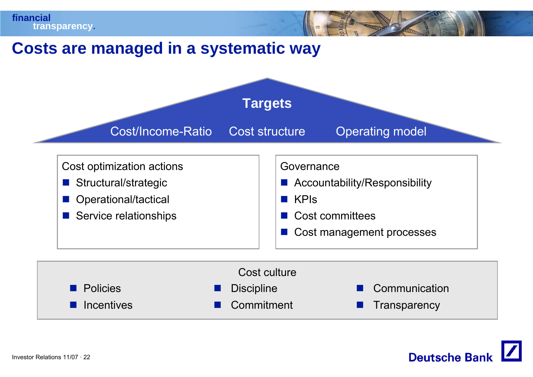



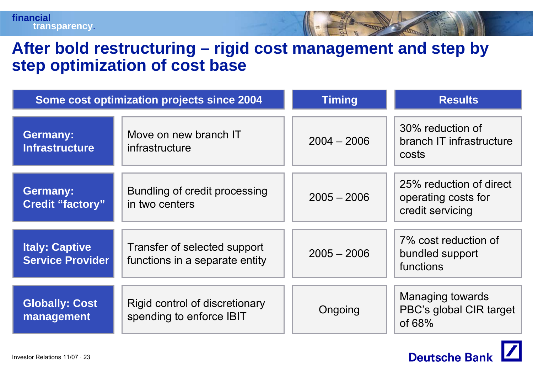### **After bold restructuring – rigid cost management and step by step optimization of cost base**

|                                                  | Some cost optimization projects since 2004                     | <b>Timing</b> | <b>Results</b>                                                     |
|--------------------------------------------------|----------------------------------------------------------------|---------------|--------------------------------------------------------------------|
| <b>Germany:</b><br><b>Infrastructure</b>         | Move on new branch IT<br>infrastructure                        | $2004 - 2006$ | 30% reduction of<br>branch IT infrastructure<br>costs              |
| <b>Germany:</b><br><b>Credit "factory"</b>       | Bundling of credit processing<br>in two centers                | $2005 - 2006$ | 25% reduction of direct<br>operating costs for<br>credit servicing |
| <b>Italy: Captive</b><br><b>Service Provider</b> | Transfer of selected support<br>functions in a separate entity | $2005 - 2006$ | 7% cost reduction of<br>bundled support<br>functions               |
| <b>Globally: Cost</b><br>management              | Rigid control of discretionary<br>spending to enforce IBIT     | Ongoing       | Managing towards<br>PBC's global CIR target<br>of $68%$            |

**Deutsche Bank**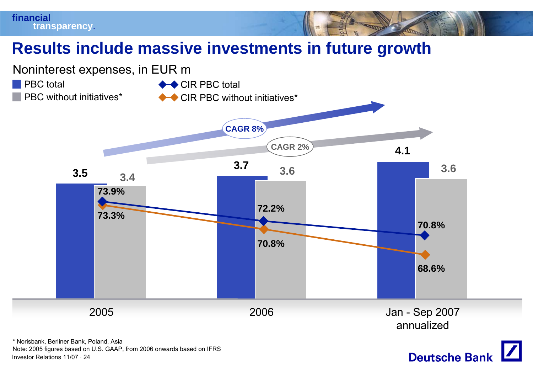



**Deutsche Bank** 

**financial**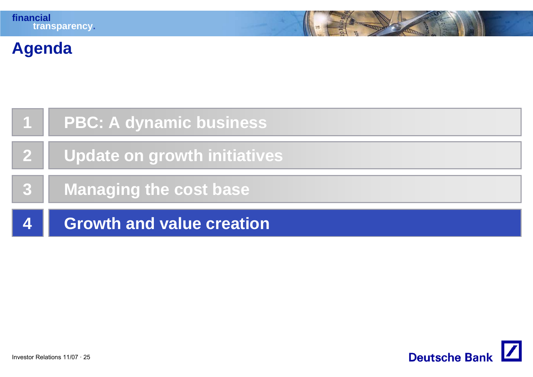# **Agenda**

| $\vert$ 1               | <b>PBC: A dynamic business</b>   |
|-------------------------|----------------------------------|
| $\mathbf{2}$            | Update on growth initiatives     |
| $\mathbf{3}$            | Managing the cost base           |
| $\overline{\mathbf{4}}$ | <b>Growth and value creation</b> |

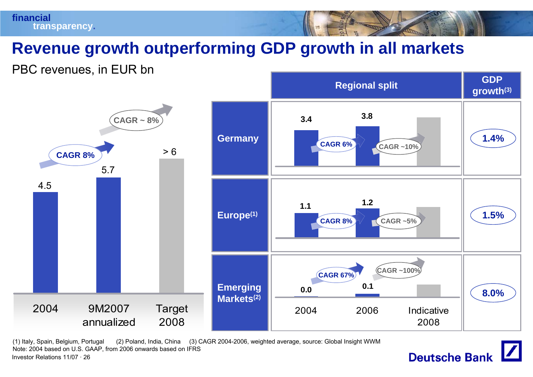

# **Revenue growth outperforming GDP growth in all markets**

PBC revenues, in EUR bn



Investor Relations 11/07 · 26(1) Italy, Spain, Belgium, Portugal (2) Poland, India, China (3) CAGR 2004-2006, weighted average, source: Global Insight WWM Note: 2004 based on U.S. GAAP, from 2006 onwards based on IFRS

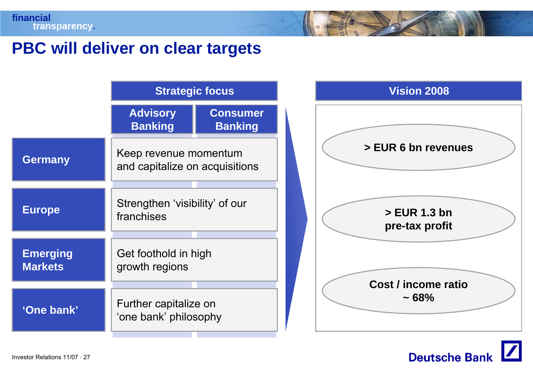## **PBC will deliver on clear targets**

|                                   | <b>Strategic focus</b>                                  |                                   |  |
|-----------------------------------|---------------------------------------------------------|-----------------------------------|--|
|                                   | <b>Advisory</b><br><b>Banking</b>                       | <b>Consumer</b><br><b>Banking</b> |  |
| <b>Germany</b>                    | Keep revenue momentum<br>and capitalize on acquisitions |                                   |  |
| <b>Europe</b>                     | Strengthen 'visibility' of our<br>franchises            |                                   |  |
| <b>Emerging</b><br><b>Markets</b> | Get foothold in high<br>growth regions                  |                                   |  |
| 'One bank'                        | Further capitalize on<br>'one bank' philosophy          |                                   |  |